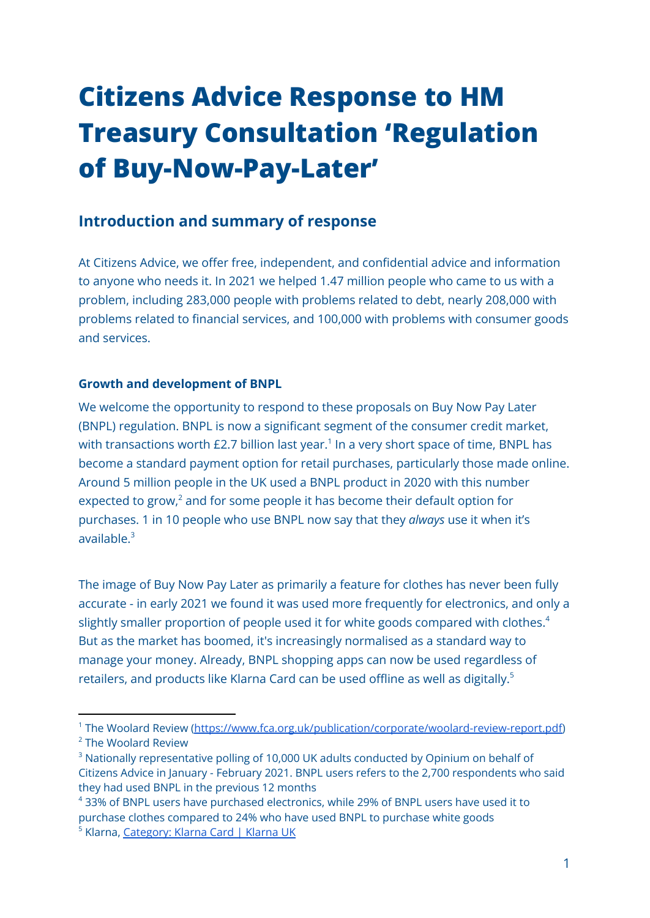# **Citizens Advice Response to HM Treasury Consultation 'Regulation of Buy-Now-Pay-Later'**

## **Introduction and summary of response**

At Citizens Advice, we offer free, independent, and confidential advice and information to anyone who needs it. In 2021 we helped 1.47 million people who came to us with a problem, including 283,000 people with problems related to debt, nearly 208,000 with problems related to financial services, and 100,000 with problems with consumer goods and services.

#### **Growth and development of BNPL**

We welcome the opportunity to respond to these proposals on Buy Now Pay Later (BNPL) regulation. BNPL is now a significant segment of the consumer credit market, with transactions worth £2.7 billion last year.<sup>1</sup> In a very short space of time, BNPL has become a standard payment option for retail purchases, particularly those made online. Around 5 million people in the UK used a BNPL product in 2020 with this number expected to grow, $2$  and for some people it has become their default option for purchases. 1 in 10 people who use BNPL now say that they *always* use it when it's available. 3

The image of Buy Now Pay Later as primarily a feature for clothes has never been fully accurate - in early 2021 we found it was used more frequently for electronics, and only a slightly smaller proportion of people used it for white goods compared with clothes.<sup>4</sup> But as the market has boomed, it's increasingly normalised as a standard way to manage your money. Already, BNPL shopping apps can now be used regardless of retailers, and products like Klarna Card can be used offline as well as digitally. $^{\rm 5}$ 

<sup>2</sup> The Woolard Review <sup>1</sup> The Woolard Review [\(https://www.fca.org.uk/publication/corporate/woolard-review-report.pdf\)](https://www.fca.org.uk/publication/corporate/woolard-review-report.pdf)

<sup>&</sup>lt;sup>3</sup> Nationally representative polling of 10,000 UK adults conducted by Opinium on behalf of Citizens Advice in January - February 2021. BNPL users refers to the 2,700 respondents who said they had used BNPL in the previous 12 months

<sup>&</sup>lt;sup>5</sup> Klarna, [Category:](https://www.klarna.com/uk/customer-service/csc/products-services/klarna-card/) Klarna Card | Klarna UK <sup>4</sup> 33% of BNPL users have purchased electronics, while 29% of BNPL users have used it to purchase clothes compared to 24% who have used BNPL to purchase white goods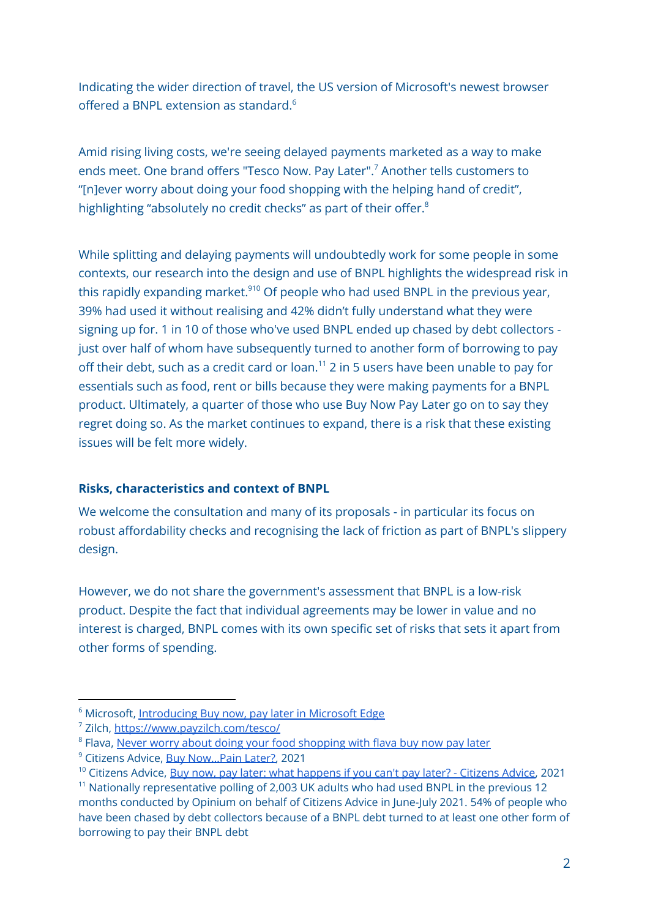Indicating the wider direction of travel, the US version of Microsoft's newest browser offered a BNPL extension as standard. 6

Amid rising living costs, we're seeing delayed payments marketed as a way to make ends meet. One brand offers "Tesco Now. Pay Later". <sup>7</sup> Another tells customers to "[n]ever worry about doing your food shopping with the helping hand of credit", highlighting "absolutely no credit checks" as part of their offer.<sup>8</sup>

While splitting and delaying payments will undoubtedly work for some people in some contexts, our research into the design and use of BNPL highlights the widespread risk in this rapidly expanding market.<sup>910</sup> Of people who had used BNPL in the previous year, 39% had used it without realising and 42% didn't fully understand what they were signing up for. 1 in 10 of those who've used BNPL ended up chased by debt collectors just over half of whom have subsequently turned to another form of borrowing to pay off their debt, such as a credit card or loan. <sup>11</sup> 2 in 5 users have been unable to pay for essentials such as food, rent or bills because they were making payments for a BNPL product. Ultimately, a quarter of those who use Buy Now Pay Later go on to say they regret doing so. As the market continues to expand, there is a risk that these existing issues will be felt more widely.

#### **Risks, characteristics and context of BNPL**

We welcome the consultation and many of its proposals - in particular its focus on robust affordability checks and recognising the lack of friction as part of BNPL's slippery design.

However, we do not share the government's assessment that BNPL is a low-risk product. Despite the fact that individual agreements may be lower in value and no interest is charged, BNPL comes with its own specific set of risks that sets it apart from other forms of spending.

<sup>&</sup>lt;sup>6</sup> Microsoft, [Introducing](https://techcommunity.microsoft.com/t5/articles/introducing-buy-now-pay-later-in-microsoft-edge/m-p/2967030) Buy now, pay later in Microsoft Edge

<sup>7</sup> Zilch, <https://www.payzilch.com/tesco/>

<sup>&</sup>lt;sup>8</sup> Flava, Never worry about doing your food [shopping](https://flava.co.uk/blog/never-worry-about-doing-your-food-shopping-with-the-helping-hand-of-credit.php) with flava buy now pay later

<sup>9</sup> Citizens Advice, Buy [Now…Pain](https://www.citizensadvice.org.uk/about-us/our-work/policy/policy-research-topics/debt-and-money-policy-research/buy-nowpain-later/) Later?, 2021

<sup>&</sup>lt;sup>10</sup> Citizens Advice, Buy now, pay later: what [happens](https://www.citizensadvice.org.uk/about-us/our-work/policy/policy-research-topics/debt-and-money-policy-research/buy-now-pay-later-what-happens-if-you-cant-pay-later/) if you can't pay later? - Citizens Advice, 2021

 $11$  Nationally representative polling of 2,003 UK adults who had used BNPL in the previous 12 months conducted by Opinium on behalf of Citizens Advice in June-July 2021. 54% of people who have been chased by debt collectors because of a BNPL debt turned to at least one other form of borrowing to pay their BNPL debt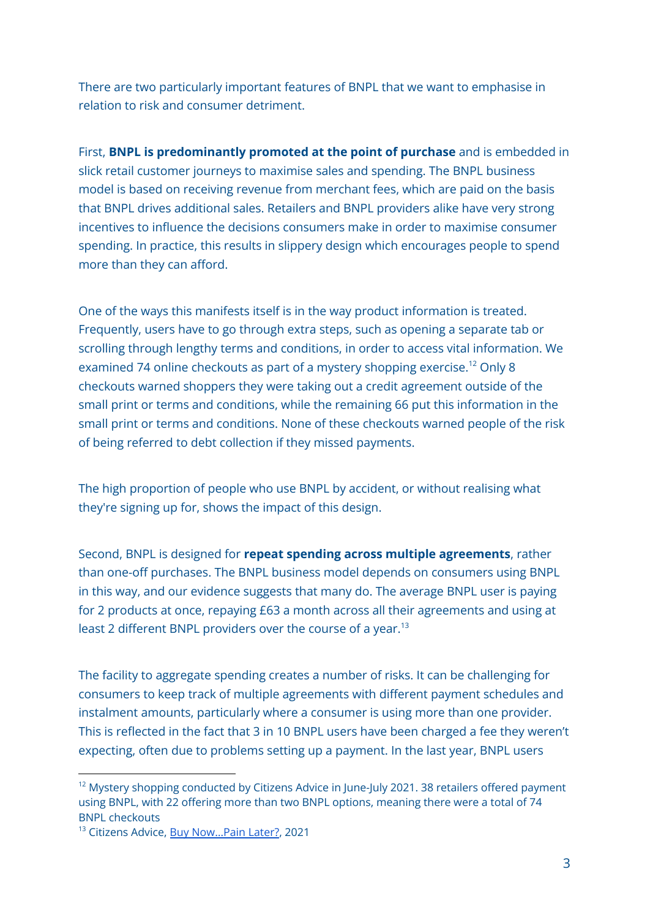There are two particularly important features of BNPL that we want to emphasise in relation to risk and consumer detriment.

First, **BNPL is predominantly promoted at the point of purchase** and is embedded in slick retail customer journeys to maximise sales and spending. The BNPL business model is based on receiving revenue from merchant fees, which are paid on the basis that BNPL drives additional sales. Retailers and BNPL providers alike have very strong incentives to influence the decisions consumers make in order to maximise consumer spending. In practice, this results in slippery design which encourages people to spend more than they can afford.

One of the ways this manifests itself is in the way product information is treated. Frequently, users have to go through extra steps, such as opening a separate tab or scrolling through lengthy terms and conditions, in order to access vital information. We examined 74 online checkouts as part of a mystery shopping exercise.<sup>12</sup> Only 8 checkouts warned shoppers they were taking out a credit agreement outside of the small print or terms and conditions, while the remaining 66 put this information in the small print or terms and conditions. None of these checkouts warned people of the risk of being referred to debt collection if they missed payments.

The high proportion of people who use BNPL by accident, or without realising what they're signing up for, shows the impact of this design.

Second, BNPL is designed for **repeat spending across multiple agreements**, rather than one-off purchases. The BNPL business model depends on consumers using BNPL in this way, and our evidence suggests that many do. The average BNPL user is paying for 2 products at once, repaying £63 a month across all their agreements and using at least 2 different BNPL providers over the course of a year.<sup>13</sup>

The facility to aggregate spending creates a number of risks. It can be challenging for consumers to keep track of multiple agreements with different payment schedules and instalment amounts, particularly where a consumer is using more than one provider. This is reflected in the fact that 3 in 10 BNPL users have been charged a fee they weren't expecting, often due to problems setting up a payment. In the last year, BNPL users

<sup>&</sup>lt;sup>12</sup> Mystery shopping conducted by Citizens Advice in June-July 2021. 38 retailers offered payment using BNPL, with 22 offering more than two BNPL options, meaning there were a total of 74 BNPL checkouts

<sup>&</sup>lt;sup>13</sup> Citizens Advice, Buy Now...Pain Later?, 2021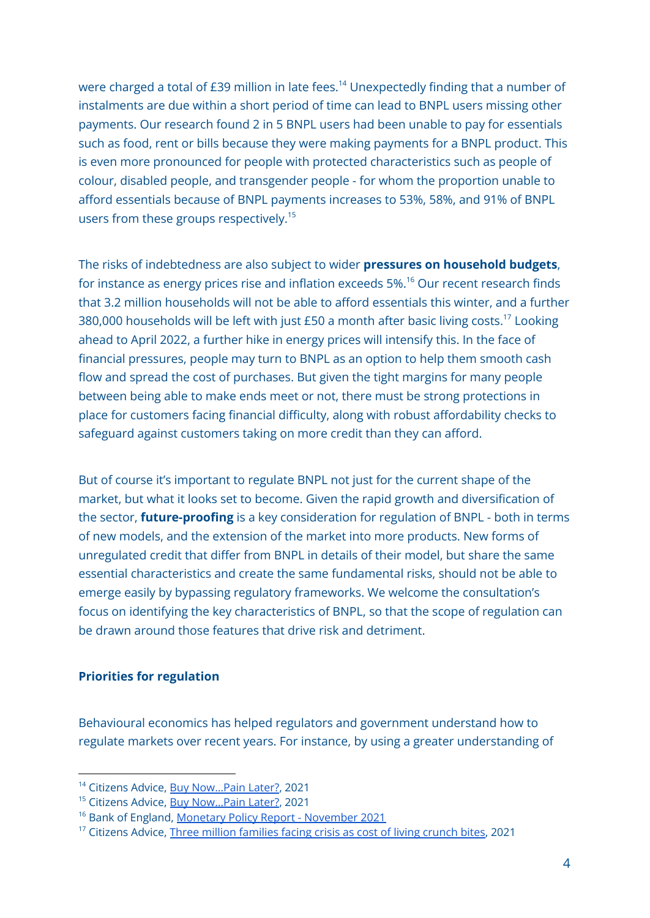were charged a total of £39 million in late fees. <sup>14</sup> Unexpectedly finding that a number of instalments are due within a short period of time can lead to BNPL users missing other payments. Our research found 2 in 5 BNPL users had been unable to pay for essentials such as food, rent or bills because they were making payments for a BNPL product. This is even more pronounced for people with protected characteristics such as people of colour, disabled people, and transgender people - for whom the proportion unable to afford essentials because of BNPL payments increases to 53%, 58%, and 91% of BNPL users from these groups respectively. 15

The risks of indebtedness are also subject to wider **pressures on household budgets**, for instance as energy prices rise and inflation exceeds 5%. <sup>16</sup> Our recent research finds that 3.2 million households will not be able to afford essentials this winter, and a further 380,000 households will be left with just £50 a month after basic living costs. $^{17}$  Looking ahead to April 2022, a further hike in energy prices will intensify this. In the face of financial pressures, people may turn to BNPL as an option to help them smooth cash flow and spread the cost of purchases. But given the tight margins for many people between being able to make ends meet or not, there must be strong protections in place for customers facing financial difficulty, along with robust affordability checks to safeguard against customers taking on more credit than they can afford.

But of course it's important to regulate BNPL not just for the current shape of the market, but what it looks set to become. Given the rapid growth and diversification of the sector, **future-proofing** is a key consideration for regulation of BNPL - both in terms of new models, and the extension of the market into more products. New forms of unregulated credit that differ from BNPL in details of their model, but share the same essential characteristics and create the same fundamental risks, should not be able to emerge easily by bypassing regulatory frameworks. We welcome the consultation's focus on identifying the key characteristics of BNPL, so that the scope of regulation can be drawn around those features that drive risk and detriment.

#### **Priorities for regulation**

Behavioural economics has helped regulators and government understand how to regulate markets over recent years. For instance, by using a greater understanding of

<sup>&</sup>lt;sup>14</sup> Citizens Advice, Buy Now...Pain Later?, 2021

<sup>&</sup>lt;sup>15</sup> Citizens Advice, **Buy Now...Pain Later?**, 2021

<sup>16</sup> Bank of England, Monetary Policy Report - [November](https://www.bankofengland.co.uk/monetary-policy-report/2021/november-2021) 2021

<sup>&</sup>lt;sup>17</sup> Citizens Advice, Three million [families](https://www.citizensadvice.org.uk/about-us/about-us1/media/press-releases/three-million-families-facing-crisis-as-cost-of-living-crunch-bites/) facing crisis as cost of living crunch bites, 2021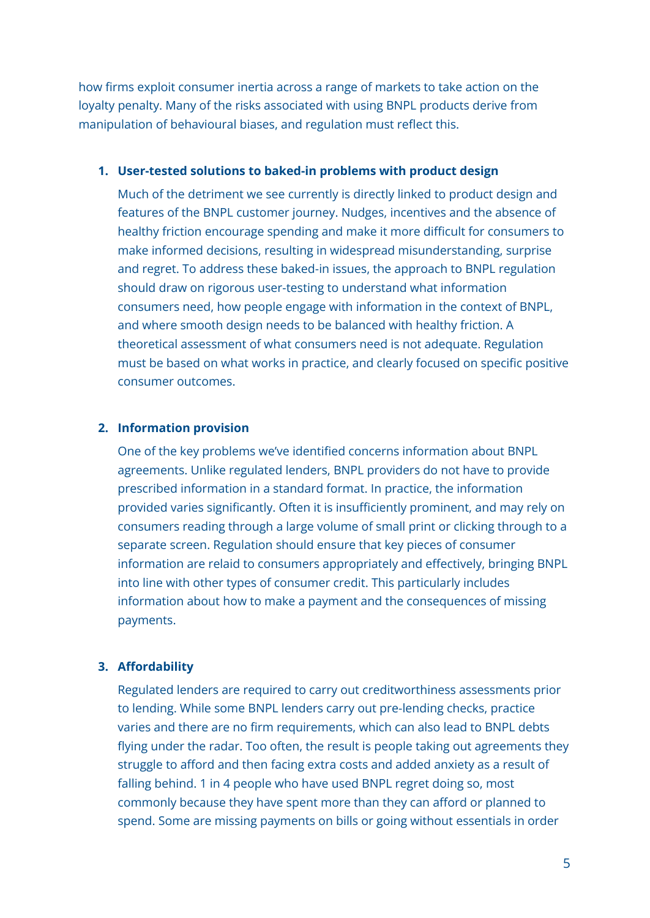how firms exploit consumer inertia across a range of markets to take action on the loyalty penalty. Many of the risks associated with using BNPL products derive from manipulation of behavioural biases, and regulation must reflect this.

#### **1. User-tested solutions to baked-in problems with product design**

Much of the detriment we see currently is directly linked to product design and features of the BNPL customer journey. Nudges, incentives and the absence of healthy friction encourage spending and make it more difficult for consumers to make informed decisions, resulting in widespread misunderstanding, surprise and regret. To address these baked-in issues, the approach to BNPL regulation should draw on rigorous user-testing to understand what information consumers need, how people engage with information in the context of BNPL, and where smooth design needs to be balanced with healthy friction. A theoretical assessment of what consumers need is not adequate. Regulation must be based on what works in practice, and clearly focused on specific positive consumer outcomes.

#### **2. Information provision**

One of the key problems we've identified concerns information about BNPL agreements. Unlike regulated lenders, BNPL providers do not have to provide prescribed information in a standard format. In practice, the information provided varies significantly. Often it is insufficiently prominent, and may rely on consumers reading through a large volume of small print or clicking through to a separate screen. Regulation should ensure that key pieces of consumer information are relaid to consumers appropriately and effectively, bringing BNPL into line with other types of consumer credit. This particularly includes information about how to make a payment and the consequences of missing payments.

#### **3. Affordability**

Regulated lenders are required to carry out creditworthiness assessments prior to lending. While some BNPL lenders carry out pre-lending checks, practice varies and there are no firm requirements, which can also lead to BNPL debts flying under the radar. Too often, the result is people taking out agreements they struggle to afford and then facing extra costs and added anxiety as a result of falling behind. 1 in 4 people who have used BNPL regret doing so, most commonly because they have spent more than they can afford or planned to spend. Some are missing payments on bills or going without essentials in order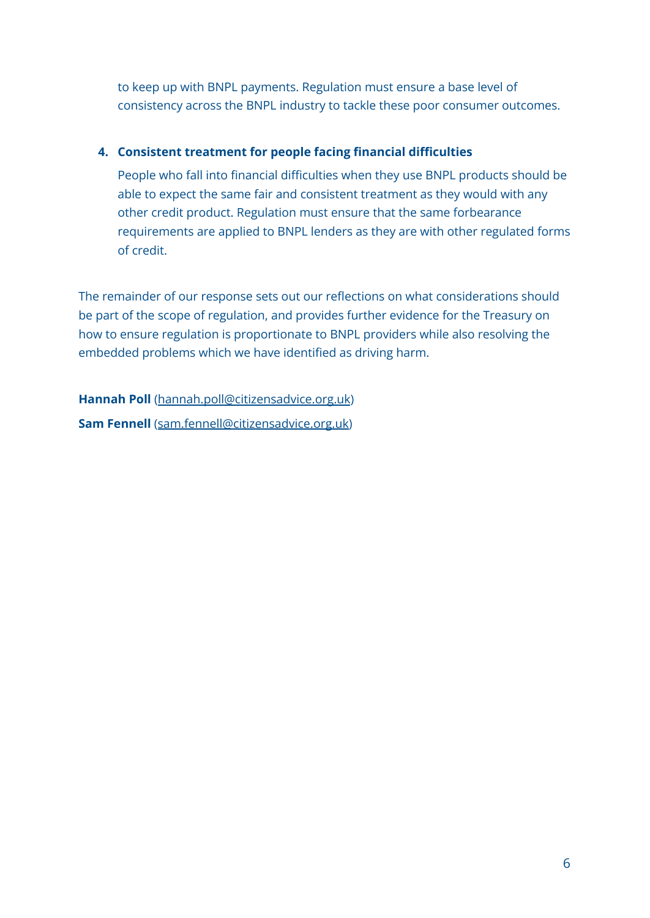to keep up with BNPL payments. Regulation must ensure a base level of consistency across the BNPL industry to tackle these poor consumer outcomes.

#### **4. Consistent treatment for people facing financial difficulties**

People who fall into financial difficulties when they use BNPL products should be able to expect the same fair and consistent treatment as they would with any other credit product. Regulation must ensure that the same forbearance requirements are applied to BNPL lenders as they are with other regulated forms of credit.

The remainder of our response sets out our reflections on what considerations should be part of the scope of regulation, and provides further evidence for the Treasury on how to ensure regulation is proportionate to BNPL providers while also resolving the embedded problems which we have identified as driving harm.

**Hannah Poll** ([hannah.poll@citizensadvice.org.uk](mailto:hannah.poll@citizensadvice.org.uk)) **Sam Fennell** ([sam.fennell@citizensadvice.org.uk\)](mailto:sam.fennell@citizensadvice.org.uk)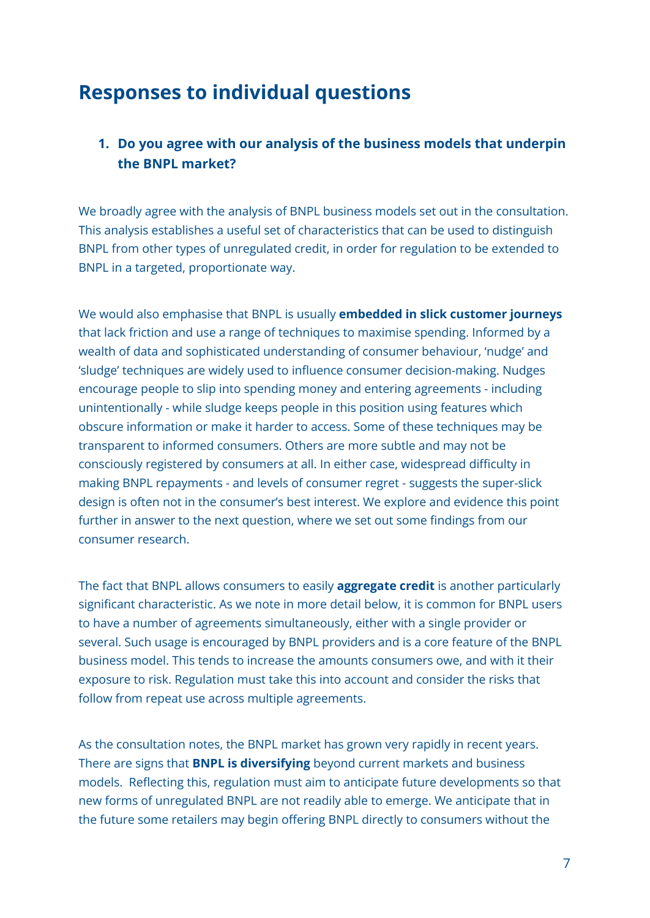# **Responses to individual questions**

## **1. Do you agree with our analysis of the business models that underpin the BNPL market?**

We broadly agree with the analysis of BNPL business models set out in the consultation. This analysis establishes a useful set of characteristics that can be used to distinguish BNPL from other types of unregulated credit, in order for regulation to be extended to BNPL in a targeted, proportionate way.

We would also emphasise that BNPL is usually **embedded in slick customer journeys** that lack friction and use a range of techniques to maximise spending. Informed by a wealth of data and sophisticated understanding of consumer behaviour, 'nudge' and 'sludge' techniques are widely used to influence consumer decision-making. Nudges encourage people to slip into spending money and entering agreements - including unintentionally - while sludge keeps people in this position using features which obscure information or make it harder to access. Some of these techniques may be transparent to informed consumers. Others are more subtle and may not be consciously registered by consumers at all. In either case, widespread difficulty in making BNPL repayments - and levels of consumer regret - suggests the super-slick design is often not in the consumer's best interest. We explore and evidence this point further in answer to the next question, where we set out some findings from our consumer research.

The fact that BNPL allows consumers to easily **aggregate credit** is another particularly significant characteristic. As we note in more detail below, it is common for BNPL users to have a number of agreements simultaneously, either with a single provider or several. Such usage is encouraged by BNPL providers and is a core feature of the BNPL business model. This tends to increase the amounts consumers owe, and with it their exposure to risk. Regulation must take this into account and consider the risks that follow from repeat use across multiple agreements.

As the consultation notes, the BNPL market has grown very rapidly in recent years. There are signs that **BNPL is diversifying** beyond current markets and business models. Reflecting this, regulation must aim to anticipate future developments so that new forms of unregulated BNPL are not readily able to emerge. We anticipate that in the future some retailers may begin offering BNPL directly to consumers without the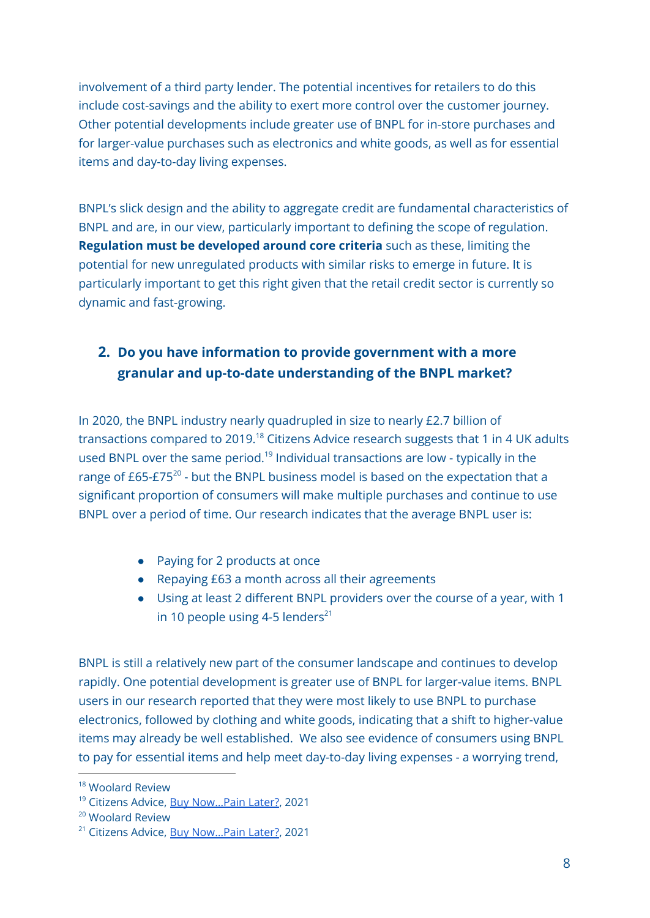involvement of a third party lender. The potential incentives for retailers to do this include cost-savings and the ability to exert more control over the customer journey. Other potential developments include greater use of BNPL for in-store purchases and for larger-value purchases such as electronics and white goods, as well as for essential items and day-to-day living expenses.

BNPL's slick design and the ability to aggregate credit are fundamental characteristics of BNPL and are, in our view, particularly important to defining the scope of regulation. **Regulation must be developed around core criteria** such as these, limiting the potential for new unregulated products with similar risks to emerge in future. It is particularly important to get this right given that the retail credit sector is currently so dynamic and fast-growing.

## **2. Do you have information to provide government with a more granular and up-to-date understanding of the BNPL market?**

In 2020, the BNPL industry nearly quadrupled in size to nearly £2.7 billion of transactions compared to 2019.<sup>18</sup> Citizens Advice research suggests that 1 in 4 UK adults used BNPL over the same period.<sup>19</sup> Individual transactions are low - typically in the range of £65-£75 $^{20}$  - but the BNPL business model is based on the expectation that a significant proportion of consumers will make multiple purchases and continue to use BNPL over a period of time. Our research indicates that the average BNPL user is:

- Paying for 2 products at once
- Repaying £63 a month across all their agreements
- Using at least 2 different BNPL providers over the course of a year, with 1 in 10 people using 4-5 lenders<sup>21</sup>

BNPL is still a relatively new part of the consumer landscape and continues to develop rapidly. One potential development is greater use of BNPL for larger-value items. BNPL users in our research reported that they were most likely to use BNPL to purchase electronics, followed by clothing and white goods, indicating that a shift to higher-value items may already be well established. We also see evidence of consumers using BNPL to pay for essential items and help meet day-to-day living expenses - a worrying trend,

<sup>18</sup> Woolard Review

<sup>&</sup>lt;sup>19</sup> Citizens Advice, **Buy Now...Pain Later?**, 2021

<sup>&</sup>lt;sup>20</sup> Woolard Review

<sup>&</sup>lt;sup>21</sup> Citizens Advice, Buy Now...Pain Later?, 2021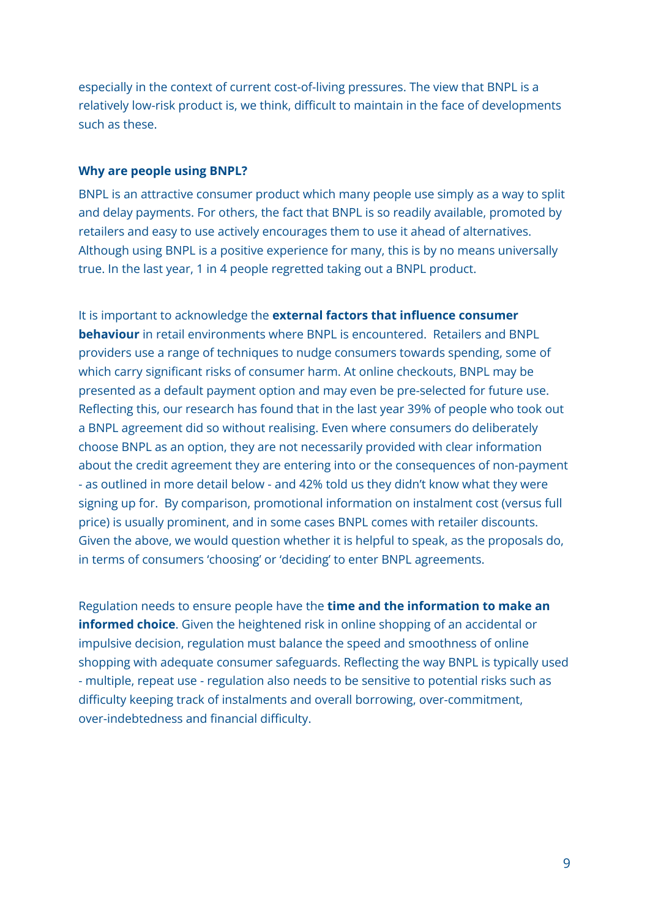especially in the context of current cost-of-living pressures. The view that BNPL is a relatively low-risk product is, we think, difficult to maintain in the face of developments such as these.

#### **Why are people using BNPL?**

BNPL is an attractive consumer product which many people use simply as a way to split and delay payments. For others, the fact that BNPL is so readily available, promoted by retailers and easy to use actively encourages them to use it ahead of alternatives. Although using BNPL is a positive experience for many, this is by no means universally true. In the last year, 1 in 4 people regretted taking out a BNPL product.

It is important to acknowledge the **external factors that influence consumer behaviour** in retail environments where BNPL is encountered. Retailers and BNPL providers use a range of techniques to nudge consumers towards spending, some of which carry significant risks of consumer harm. At online checkouts, BNPL may be presented as a default payment option and may even be pre-selected for future use. Reflecting this, our research has found that in the last year 39% of people who took out a BNPL agreement did so without realising. Even where consumers do deliberately choose BNPL as an option, they are not necessarily provided with clear information about the credit agreement they are entering into or the consequences of non-payment - as outlined in more detail below - and 42% told us they didn't know what they were signing up for. By comparison, promotional information on instalment cost (versus full price) is usually prominent, and in some cases BNPL comes with retailer discounts. Given the above, we would question whether it is helpful to speak, as the proposals do, in terms of consumers 'choosing' or 'deciding' to enter BNPL agreements.

Regulation needs to ensure people have the **time and the information to make an informed choice**. Given the heightened risk in online shopping of an accidental or impulsive decision, regulation must balance the speed and smoothness of online shopping with adequate consumer safeguards. Reflecting the way BNPL is typically used - multiple, repeat use - regulation also needs to be sensitive to potential risks such as difficulty keeping track of instalments and overall borrowing, over-commitment, over-indebtedness and financial difficulty.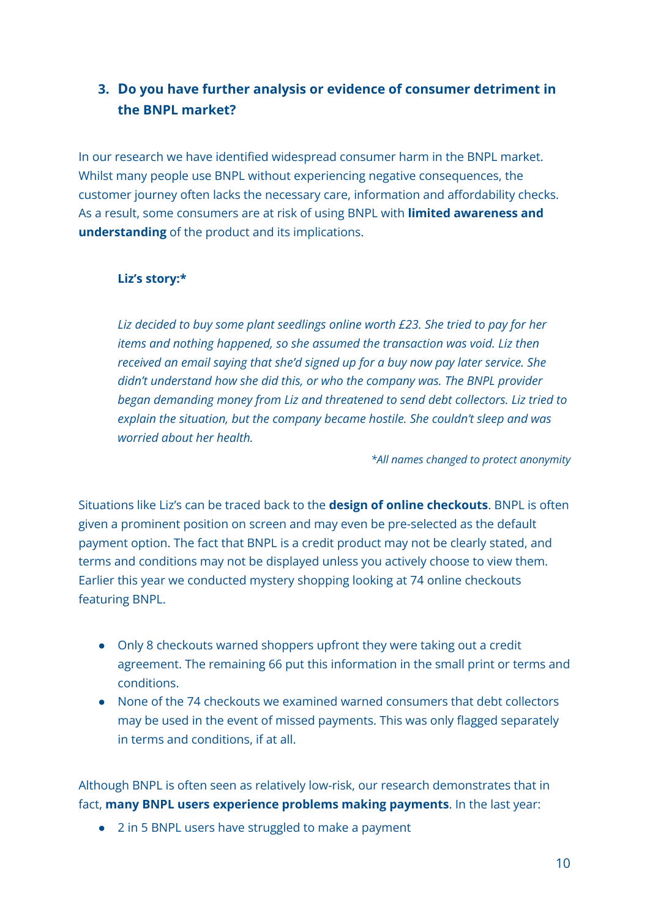## **3. Do you have further analysis or evidence of consumer detriment in the BNPL market?**

In our research we have identified widespread consumer harm in the BNPL market. Whilst many people use BNPL without experiencing negative consequences, the customer journey often lacks the necessary care, information and affordability checks. As a result, some consumers are at risk of using BNPL with **limited awareness and understanding** of the product and its implications.

#### **Liz's story:\***

*Liz decided to buy some plant seedlings online worth £23. She tried to pay for her items and nothing happened, so she assumed the transaction was void. Liz then received an email saying that she'd signed up for a buy now pay later service. She didn't understand how she did this, or who the company was. The BNPL provider began demanding money from Liz and threatened to send debt collectors. Liz tried to explain the situation, but the company became hostile. She couldn't sleep and was worried about her health.*

*\*All names changed to protect anonymity*

Situations like Liz's can be traced back to the **design of online checkouts**. BNPL is often given a prominent position on screen and may even be pre-selected as the default payment option. The fact that BNPL is a credit product may not be clearly stated, and terms and conditions may not be displayed unless you actively choose to view them. Earlier this year we conducted mystery shopping looking at 74 online checkouts featuring BNPL.

- Only 8 checkouts warned shoppers upfront they were taking out a credit agreement. The remaining 66 put this information in the small print or terms and conditions.
- None of the 74 checkouts we examined warned consumers that debt collectors may be used in the event of missed payments. This was only flagged separately in terms and conditions, if at all.

Although BNPL is often seen as relatively low-risk, our research demonstrates that in fact, **many BNPL users experience problems making payments**. In the last year:

● 2 in 5 BNPL users have struggled to make a payment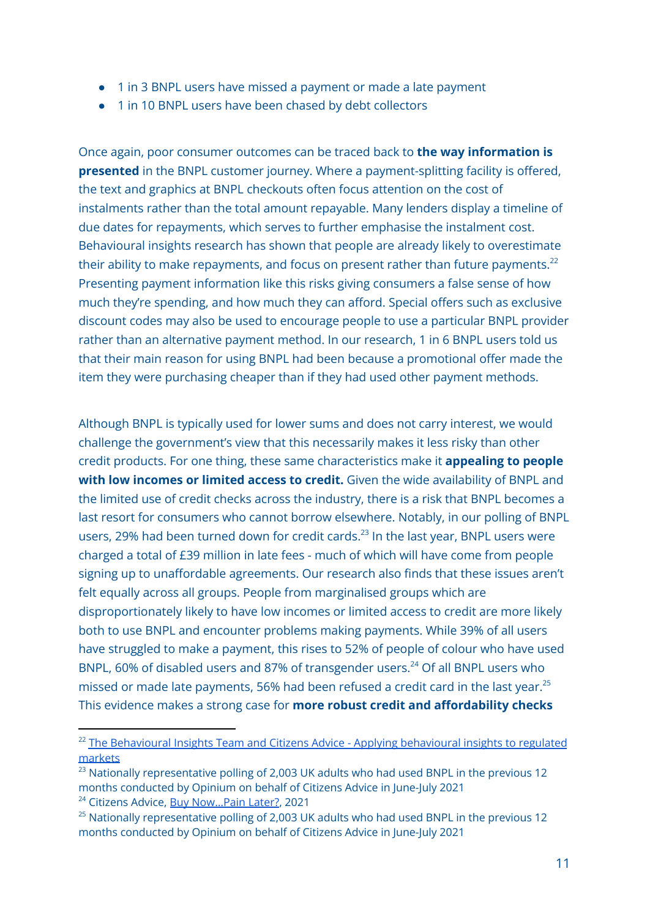- 1 in 3 BNPL users have missed a payment or made a late payment
- 1 in 10 BNPL users have been chased by debt collectors

Once again, poor consumer outcomes can be traced back to **the way information is presented** in the BNPL customer journey. Where a payment-splitting facility is offered, the text and graphics at BNPL checkouts often focus attention on the cost of instalments rather than the total amount repayable. Many lenders display a timeline of due dates for repayments, which serves to further emphasise the instalment cost. Behavioural insights research has shown that people are already likely to overestimate their ability to make repayments, and focus on present rather than future payments. $^{22}$ Presenting payment information like this risks giving consumers a false sense of how much they're spending, and how much they can afford. Special offers such as exclusive discount codes may also be used to encourage people to use a particular BNPL provider rather than an alternative payment method. In our research, 1 in 6 BNPL users told us that their main reason for using BNPL had been because a promotional offer made the item they were purchasing cheaper than if they had used other payment methods.

Although BNPL is typically used for lower sums and does not carry interest, we would challenge the government's view that this necessarily makes it less risky than other credit products. For one thing, these same characteristics make it **appealing to people with low incomes or limited access to credit.** Given the wide availability of BNPL and the limited use of credit checks across the industry, there is a risk that BNPL becomes a last resort for consumers who cannot borrow elsewhere. Notably, in our polling of BNPL users, 29% had been turned down for credit cards.<sup>23</sup> In the last year, BNPL users were charged a total of £39 million in late fees - much of which will have come from people signing up to unaffordable agreements. Our research also finds that these issues aren't felt equally across all groups. People from marginalised groups which are disproportionately likely to have low incomes or limited access to credit are more likely both to use BNPL and encounter problems making payments. While 39% of all users have struggled to make a payment, this rises to 52% of people of colour who have used BNPL, 60% of disabled users and 87% of transgender users.<sup>24</sup> Of all BNPL users who missed or made late payments, 56% had been refused a credit card in the last year. $^{25}$ This evidence makes a strong case for **more robust credit and affordability checks**

<sup>&</sup>lt;sup>22</sup> The [Behavioural](https://www.citizensadvice.org.uk/about-us/our-work/policy/policy-research-topics/consumer-policy-research/consumer-policy-research/applying-behavioural-insights-to-regulated-markets/) Insights Team and Citizens Advice - Applying behavioural insights to regulated [markets](https://www.citizensadvice.org.uk/about-us/our-work/policy/policy-research-topics/consumer-policy-research/consumer-policy-research/applying-behavioural-insights-to-regulated-markets/)

 $23$  Nationally representative polling of 2,003 UK adults who had used BNPL in the previous 12 months conducted by Opinium on behalf of Citizens Advice in June-July 2021

<sup>&</sup>lt;sup>24</sup> Citizens Advice, Buy Now...Pain Later?, 2021

 $25$  Nationally representative polling of 2,003 UK adults who had used BNPL in the previous 12 months conducted by Opinium on behalf of Citizens Advice in June-July 2021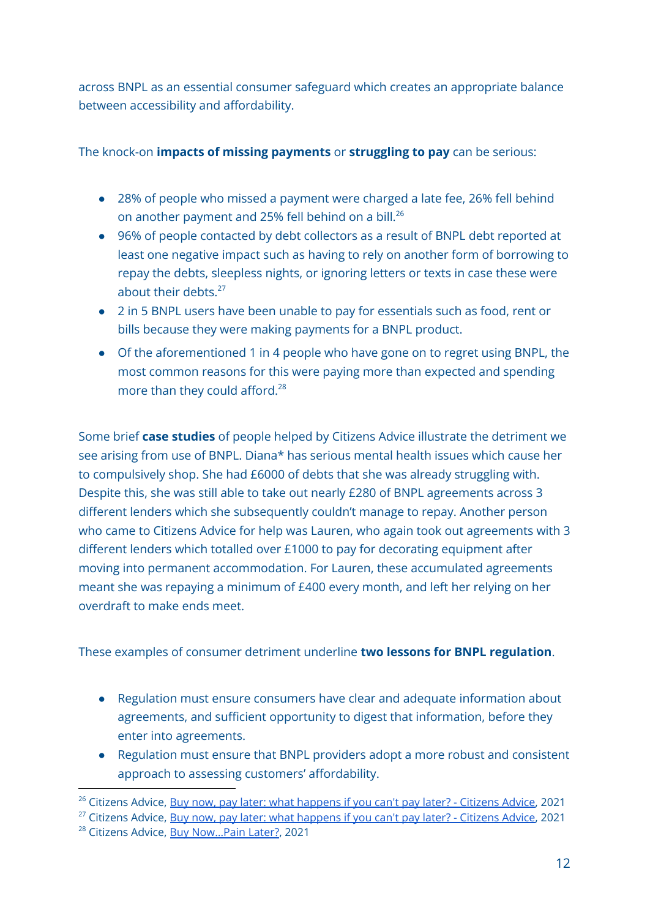across BNPL as an essential consumer safeguard which creates an appropriate balance between accessibility and affordability.

#### The knock-on **impacts of missing payments** or **struggling to pay** can be serious:

- 28% of people who missed a payment were charged a late fee, 26% fell behind on another payment and 25% fell behind on a bill. $^{26}$
- 96% of people contacted by debt collectors as a result of BNPL debt reported at least one negative impact such as having to rely on another form of borrowing to repay the debts, sleepless nights, or ignoring letters or texts in case these were about their debts.<sup>27</sup>
- 2 in 5 BNPL users have been unable to pay for essentials such as food, rent or bills because they were making payments for a BNPL product.
- Of the aforementioned 1 in 4 people who have gone on to regret using BNPL, the most common reasons for this were paying more than expected and spending more than they could afford.<sup>28</sup>

Some brief **case studies** of people helped by Citizens Advice illustrate the detriment we see arising from use of BNPL. Diana\* has serious mental health issues which cause her to compulsively shop. She had £6000 of debts that she was already struggling with. Despite this, she was still able to take out nearly £280 of BNPL agreements across 3 different lenders which she subsequently couldn't manage to repay. Another person who came to Citizens Advice for help was Lauren, who again took out agreements with 3 different lenders which totalled over £1000 to pay for decorating equipment after moving into permanent accommodation. For Lauren, these accumulated agreements meant she was repaying a minimum of £400 every month, and left her relying on her overdraft to make ends meet.

These examples of consumer detriment underline **two lessons for BNPL regulation**.

- Regulation must ensure consumers have clear and adequate information about agreements, and sufficient opportunity to digest that information, before they enter into agreements.
- Regulation must ensure that BNPL providers adopt a more robust and consistent approach to assessing customers' affordability.

<sup>&</sup>lt;sup>26</sup> Citizens Advice, Buy now, pay later: what [happens](https://www.citizensadvice.org.uk/about-us/our-work/policy/policy-research-topics/debt-and-money-policy-research/buy-now-pay-later-what-happens-if-you-cant-pay-later/) if you can't pay later? - Citizens Advice, 2021

 $27$  Citizens Advice, Buy now, pay later: what [happens](https://www.citizensadvice.org.uk/about-us/our-work/policy/policy-research-topics/debt-and-money-policy-research/buy-now-pay-later-what-happens-if-you-cant-pay-later/) if you can't pay later? - Citizens Advice, 2021

<sup>&</sup>lt;sup>28</sup> Citizens Advice, Buy Now...Pain Later?, 2021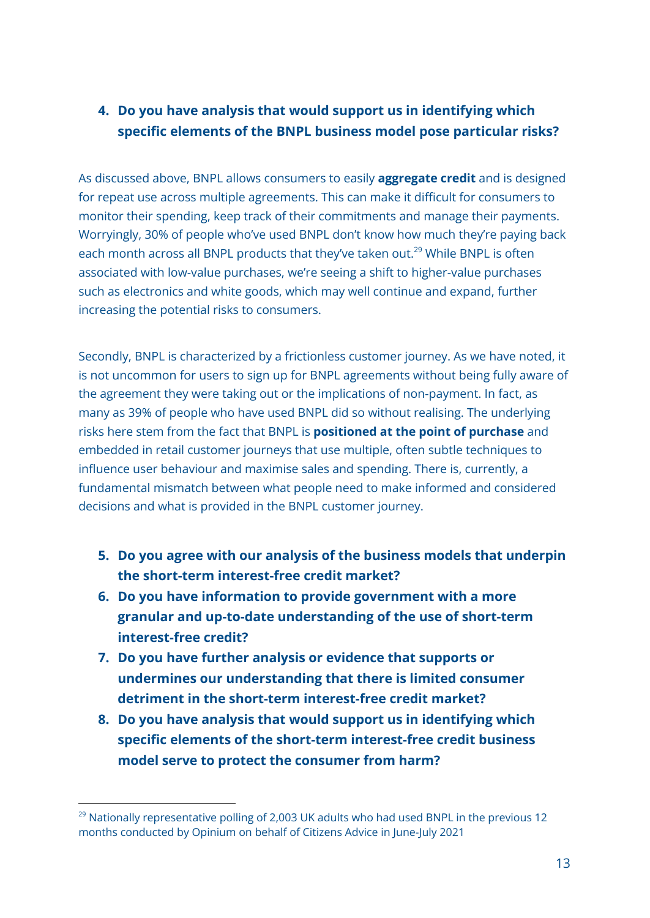# **4. Do you have analysis that would support us in identifying which specific elements of the BNPL business model pose particular risks?**

As discussed above, BNPL allows consumers to easily **aggregate credit** and is designed for repeat use across multiple agreements. This can make it difficult for consumers to monitor their spending, keep track of their commitments and manage their payments. Worryingly, 30% of people who've used BNPL don't know how much they're paying back each month across all BNPL products that they've taken out.<sup>29</sup> While BNPL is often associated with low-value purchases, we're seeing a shift to higher-value purchases such as electronics and white goods, which may well continue and expand, further increasing the potential risks to consumers.

Secondly, BNPL is characterized by a frictionless customer journey. As we have noted, it is not uncommon for users to sign up for BNPL agreements without being fully aware of the agreement they were taking out or the implications of non-payment. In fact, as many as 39% of people who have used BNPL did so without realising. The underlying risks here stem from the fact that BNPL is **positioned at the point of purchase** and embedded in retail customer journeys that use multiple, often subtle techniques to influence user behaviour and maximise sales and spending. There is, currently, a fundamental mismatch between what people need to make informed and considered decisions and what is provided in the BNPL customer journey.

- **5. Do you agree with our analysis of the business models that underpin the short-term interest-free credit market?**
- **6. Do you have information to provide government with a more granular and up-to-date understanding of the use of short-term interest-free credit?**
- **7. Do you have further analysis or evidence that supports or undermines our understanding that there is limited consumer detriment in the short-term interest-free credit market?**
- **8. Do you have analysis that would support us in identifying which specific elements of the short-term interest-free credit business model serve to protect the consumer from harm?**

<sup>&</sup>lt;sup>29</sup> Nationally representative polling of 2,003 UK adults who had used BNPL in the previous 12 months conducted by Opinium on behalf of Citizens Advice in June-July 2021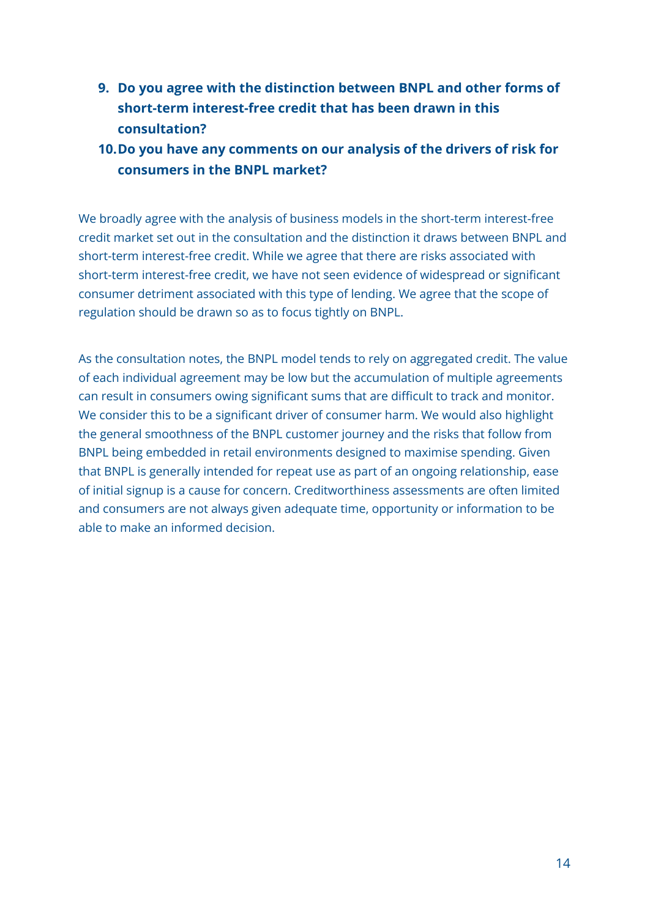- **9. Do you agree with the distinction between BNPL and other forms of short-term interest-free credit that has been drawn in this consultation?**
- **10.Do you have any comments on our analysis of the drivers of risk for consumers in the BNPL market?**

We broadly agree with the analysis of business models in the short-term interest-free credit market set out in the consultation and the distinction it draws between BNPL and short-term interest-free credit. While we agree that there are risks associated with short-term interest-free credit, we have not seen evidence of widespread or significant consumer detriment associated with this type of lending. We agree that the scope of regulation should be drawn so as to focus tightly on BNPL.

As the consultation notes, the BNPL model tends to rely on aggregated credit. The value of each individual agreement may be low but the accumulation of multiple agreements can result in consumers owing significant sums that are difficult to track and monitor. We consider this to be a significant driver of consumer harm. We would also highlight the general smoothness of the BNPL customer journey and the risks that follow from BNPL being embedded in retail environments designed to maximise spending. Given that BNPL is generally intended for repeat use as part of an ongoing relationship, ease of initial signup is a cause for concern. Creditworthiness assessments are often limited and consumers are not always given adequate time, opportunity or information to be able to make an informed decision.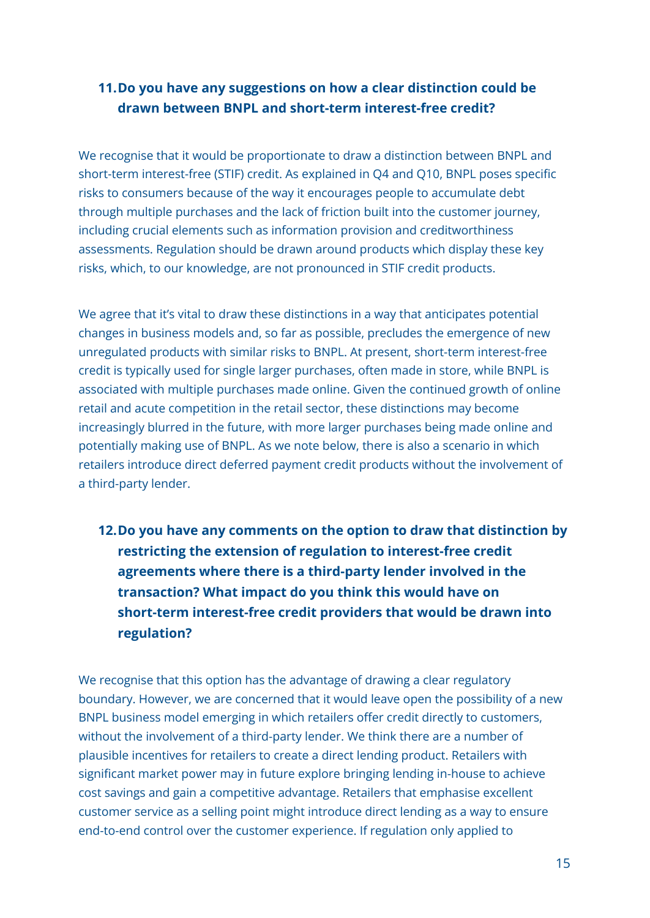## **11.Do you have any suggestions on how a clear distinction could be drawn between BNPL and short-term interest-free credit?**

We recognise that it would be proportionate to draw a distinction between BNPL and short-term interest-free (STIF) credit. As explained in Q4 and Q10, BNPL poses specific risks to consumers because of the way it encourages people to accumulate debt through multiple purchases and the lack of friction built into the customer journey, including crucial elements such as information provision and creditworthiness assessments. Regulation should be drawn around products which display these key risks, which, to our knowledge, are not pronounced in STIF credit products.

We agree that it's vital to draw these distinctions in a way that anticipates potential changes in business models and, so far as possible, precludes the emergence of new unregulated products with similar risks to BNPL. At present, short-term interest-free credit is typically used for single larger purchases, often made in store, while BNPL is associated with multiple purchases made online. Given the continued growth of online retail and acute competition in the retail sector, these distinctions may become increasingly blurred in the future, with more larger purchases being made online and potentially making use of BNPL. As we note below, there is also a scenario in which retailers introduce direct deferred payment credit products without the involvement of a third-party lender.

**12.Do you have any comments on the option to draw that distinction by restricting the extension of regulation to interest-free credit agreements where there is a third-party lender involved in the transaction? What impact do you think this would have on short-term interest-free credit providers that would be drawn into regulation?**

We recognise that this option has the advantage of drawing a clear regulatory boundary. However, we are concerned that it would leave open the possibility of a new BNPL business model emerging in which retailers offer credit directly to customers, without the involvement of a third-party lender. We think there are a number of plausible incentives for retailers to create a direct lending product. Retailers with significant market power may in future explore bringing lending in-house to achieve cost savings and gain a competitive advantage. Retailers that emphasise excellent customer service as a selling point might introduce direct lending as a way to ensure end-to-end control over the customer experience. If regulation only applied to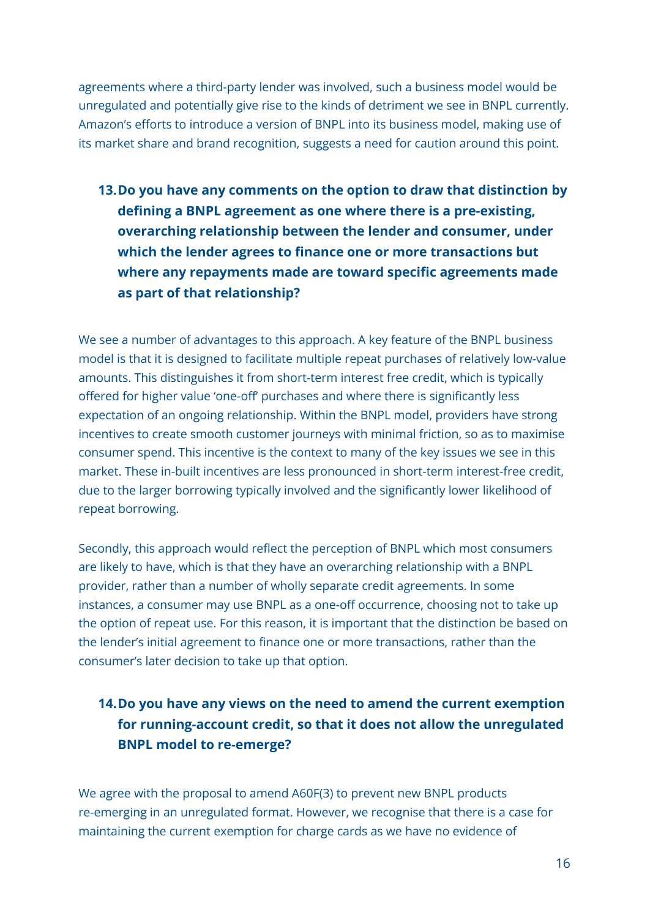agreements where a third-party lender was involved, such a business model would be unregulated and potentially give rise to the kinds of detriment we see in BNPL currently. Amazon's efforts to introduce a version of BNPL into its business model, making use of its market share and brand recognition, suggests a need for caution around this point.

**13.Do you have any comments on the option to draw that distinction by defining a BNPL agreement as one where there is a pre-existing, overarching relationship between the lender and consumer, under which the lender agrees to finance one or more transactions but where any repayments made are toward specific agreements made as part of that relationship?**

We see a number of advantages to this approach. A key feature of the BNPL business model is that it is designed to facilitate multiple repeat purchases of relatively low-value amounts. This distinguishes it from short-term interest free credit, which is typically offered for higher value 'one-off' purchases and where there is significantly less expectation of an ongoing relationship. Within the BNPL model, providers have strong incentives to create smooth customer journeys with minimal friction, so as to maximise consumer spend. This incentive is the context to many of the key issues we see in this market. These in-built incentives are less pronounced in short-term interest-free credit, due to the larger borrowing typically involved and the significantly lower likelihood of repeat borrowing.

Secondly, this approach would reflect the perception of BNPL which most consumers are likely to have, which is that they have an overarching relationship with a BNPL provider, rather than a number of wholly separate credit agreements. In some instances, a consumer may use BNPL as a one-off occurrence, choosing not to take up the option of repeat use. For this reason, it is important that the distinction be based on the lender's initial agreement to finance one or more transactions, rather than the consumer's later decision to take up that option.

## **14.Do you have any views on the need to amend the current exemption for running-account credit, so that it does not allow the unregulated BNPL model to re-emerge?**

We agree with the proposal to amend A60F(3) to prevent new BNPL products re-emerging in an unregulated format. However, we recognise that there is a case for maintaining the current exemption for charge cards as we have no evidence of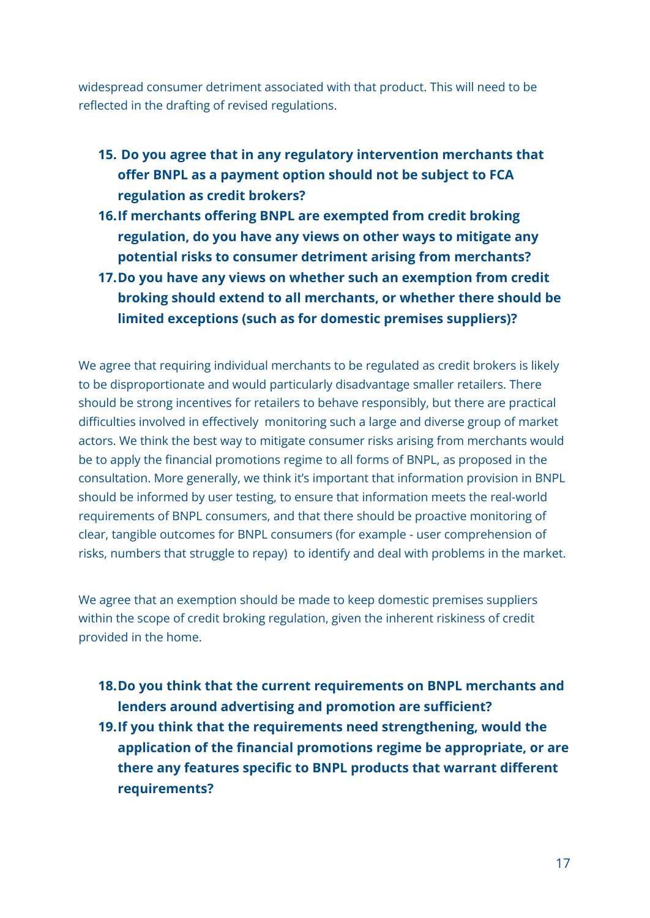widespread consumer detriment associated with that product. This will need to be reflected in the drafting of revised regulations.

- **15. Do you agree that in any regulatory intervention merchants that offer BNPL as a payment option should not be subject to FCA regulation as credit brokers?**
- **16.If merchants offering BNPL are exempted from credit broking regulation, do you have any views on other ways to mitigate any potential risks to consumer detriment arising from merchants?**
- **17.Do you have any views on whether such an exemption from credit broking should extend to all merchants, or whether there should be limited exceptions (such as for domestic premises suppliers)?**

We agree that requiring individual merchants to be regulated as credit brokers is likely to be disproportionate and would particularly disadvantage smaller retailers. There should be strong incentives for retailers to behave responsibly, but there are practical difficulties involved in effectively monitoring such a large and diverse group of market actors. We think the best way to mitigate consumer risks arising from merchants would be to apply the financial promotions regime to all forms of BNPL, as proposed in the consultation. More generally, we think it's important that information provision in BNPL should be informed by user testing, to ensure that information meets the real-world requirements of BNPL consumers, and that there should be proactive monitoring of clear, tangible outcomes for BNPL consumers (for example - user comprehension of risks, numbers that struggle to repay) to identify and deal with problems in the market.

We agree that an exemption should be made to keep domestic premises suppliers within the scope of credit broking regulation, given the inherent riskiness of credit provided in the home.

- **18.Do you think that the current requirements on BNPL merchants and lenders around advertising and promotion are sufficient?**
- **19.If you think that the requirements need strengthening, would the application of the financial promotions regime be appropriate, or are there any features specific to BNPL products that warrant different requirements?**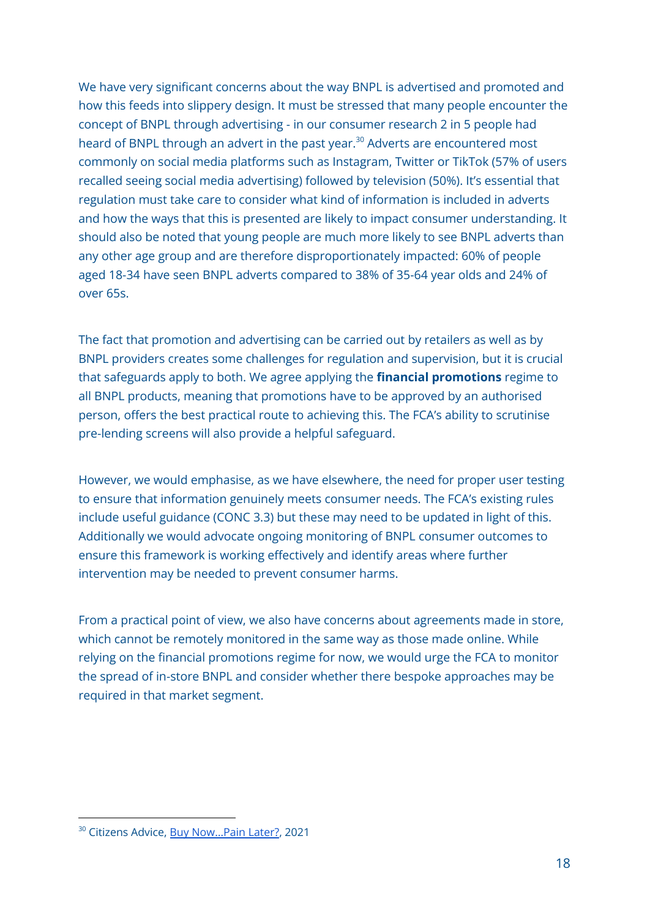We have very significant concerns about the way BNPL is advertised and promoted and how this feeds into slippery design. It must be stressed that many people encounter the concept of BNPL through advertising - in our consumer research 2 in 5 people had heard of BNPL through an advert in the past year. <sup>30</sup> Adverts are encountered most commonly on social media platforms such as Instagram, Twitter or TikTok (57% of users recalled seeing social media advertising) followed by television (50%). It's essential that regulation must take care to consider what kind of information is included in adverts and how the ways that this is presented are likely to impact consumer understanding. It should also be noted that young people are much more likely to see BNPL adverts than any other age group and are therefore disproportionately impacted: 60% of people aged 18-34 have seen BNPL adverts compared to 38% of 35-64 year olds and 24% of over 65s.

The fact that promotion and advertising can be carried out by retailers as well as by BNPL providers creates some challenges for regulation and supervision, but it is crucial that safeguards apply to both. We agree applying the **financial promotions** regime to all BNPL products, meaning that promotions have to be approved by an authorised person, offers the best practical route to achieving this. The FCA's ability to scrutinise pre-lending screens will also provide a helpful safeguard.

However, we would emphasise, as we have elsewhere, the need for proper user testing to ensure that information genuinely meets consumer needs. The FCA's existing rules include useful guidance (CONC 3.3) but these may need to be updated in light of this. Additionally we would advocate ongoing monitoring of BNPL consumer outcomes to ensure this framework is working effectively and identify areas where further intervention may be needed to prevent consumer harms.

From a practical point of view, we also have concerns about agreements made in store, which cannot be remotely monitored in the same way as those made online. While relying on the financial promotions regime for now, we would urge the FCA to monitor the spread of in-store BNPL and consider whether there bespoke approaches may be required in that market segment.

<sup>&</sup>lt;sup>30</sup> Citizens Advice, Buy Now...Pain Later?, 2021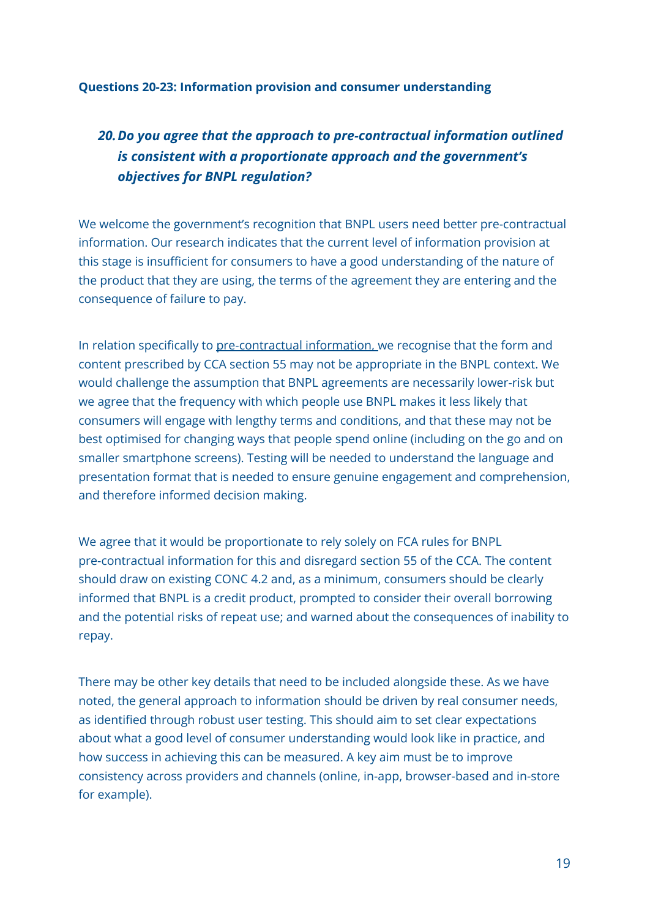#### **Questions 20-23: Information provision and consumer understanding**

# *20.Do you agree that the approach to pre-contractual information outlined is consistent with a proportionate approach and the government's objectives for BNPL regulation?*

We welcome the government's recognition that BNPL users need better pre-contractual information. Our research indicates that the current level of information provision at this stage is insufficient for consumers to have a good understanding of the nature of the product that they are using, the terms of the agreement they are entering and the consequence of failure to pay.

In relation specifically to pre-contractual information, we recognise that the form and content prescribed by CCA section 55 may not be appropriate in the BNPL context. We would challenge the assumption that BNPL agreements are necessarily lower-risk but we agree that the frequency with which people use BNPL makes it less likely that consumers will engage with lengthy terms and conditions, and that these may not be best optimised for changing ways that people spend online (including on the go and on smaller smartphone screens). Testing will be needed to understand the language and presentation format that is needed to ensure genuine engagement and comprehension, and therefore informed decision making.

We agree that it would be proportionate to rely solely on FCA rules for BNPL pre-contractual information for this and disregard section 55 of the CCA. The content should draw on existing CONC 4.2 and, as a minimum, consumers should be clearly informed that BNPL is a credit product, prompted to consider their overall borrowing and the potential risks of repeat use; and warned about the consequences of inability to repay.

There may be other key details that need to be included alongside these. As we have noted, the general approach to information should be driven by real consumer needs, as identified through robust user testing. This should aim to set clear expectations about what a good level of consumer understanding would look like in practice, and how success in achieving this can be measured. A key aim must be to improve consistency across providers and channels (online, in-app, browser-based and in-store for example).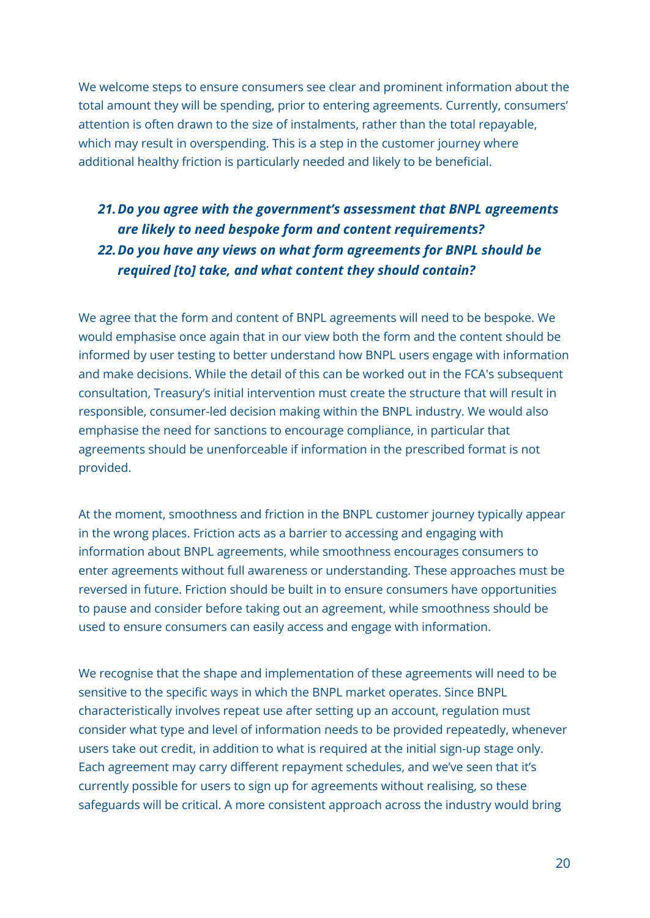We welcome steps to ensure consumers see clear and prominent information about the total amount they will be spending, prior to entering agreements. Currently, consumers' attention is often drawn to the size of instalments, rather than the total repayable, which may result in overspending. This is a step in the customer journey where additional healthy friction is particularly needed and likely to be beneficial.

# *21.Do you agree with the government's assessment that BNPL agreements are likely to need bespoke form and content requirements? 22.Do you have any views on what form agreements for BNPL should be required [to] take, and what content they should contain?*

We agree that the form and content of BNPL agreements will need to be bespoke. We would emphasise once again that in our view both the form and the content should be informed by user testing to better understand how BNPL users engage with information and make decisions. While the detail of this can be worked out in the FCA's subsequent consultation, Treasury's initial intervention must create the structure that will result in responsible, consumer-led decision making within the BNPL industry. We would also emphasise the need for sanctions to encourage compliance, in particular that agreements should be unenforceable if information in the prescribed format is not provided.

At the moment, smoothness and friction in the BNPL customer journey typically appear in the wrong places. Friction acts as a barrier to accessing and engaging with information about BNPL agreements, while smoothness encourages consumers to enter agreements without full awareness or understanding. These approaches must be reversed in future. Friction should be built in to ensure consumers have opportunities to pause and consider before taking out an agreement, while smoothness should be used to ensure consumers can easily access and engage with information.

We recognise that the shape and implementation of these agreements will need to be sensitive to the specific ways in which the BNPL market operates. Since BNPL characteristically involves repeat use after setting up an account, regulation must consider what type and level of information needs to be provided repeatedly, whenever users take out credit, in addition to what is required at the initial sign-up stage only. Each agreement may carry different repayment schedules, and we've seen that it's currently possible for users to sign up for agreements without realising, so these safeguards will be critical. A more consistent approach across the industry would bring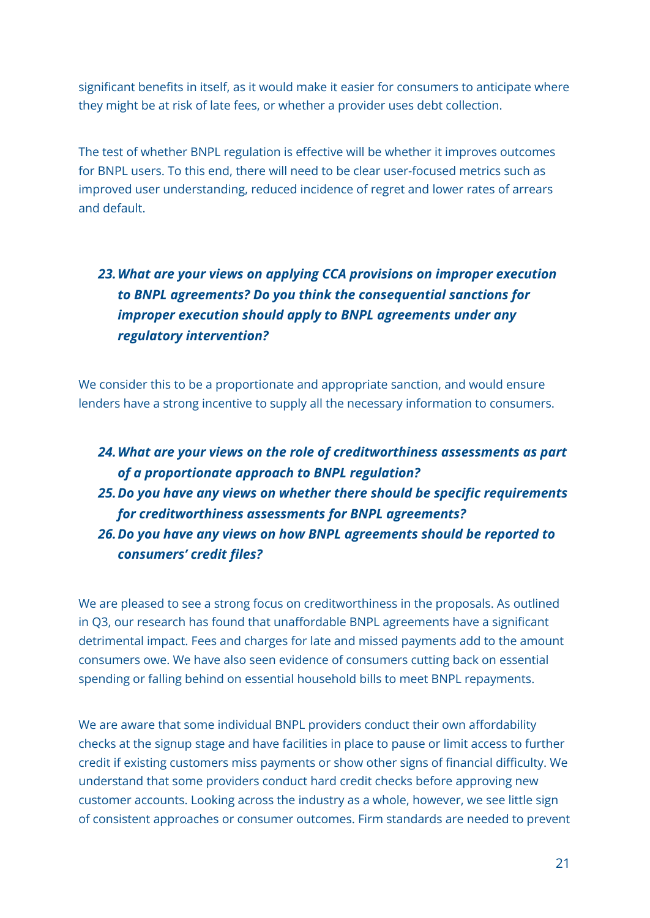significant benefits in itself, as it would make it easier for consumers to anticipate where they might be at risk of late fees, or whether a provider uses debt collection.

The test of whether BNPL regulation is effective will be whether it improves outcomes for BNPL users. To this end, there will need to be clear user-focused metrics such as improved user understanding, reduced incidence of regret and lower rates of arrears and default.

# *23.What are your views on applying CCA provisions on improper execution to BNPL agreements? Do you think the consequential sanctions for improper execution should apply to BNPL agreements under any regulatory intervention?*

We consider this to be a proportionate and appropriate sanction, and would ensure lenders have a strong incentive to supply all the necessary information to consumers.

## *24.What are your views on the role of creditworthiness assessments as part of a proportionate approach to BNPL regulation?*

*25.Do you have any views on whether there should be specific requirements for creditworthiness assessments for BNPL agreements?*

*26.Do you have any views on how BNPL agreements should be reported to consumers' credit files?*

We are pleased to see a strong focus on creditworthiness in the proposals. As outlined in Q3, our research has found that unaffordable BNPL agreements have a significant detrimental impact. Fees and charges for late and missed payments add to the amount consumers owe. We have also seen evidence of consumers cutting back on essential spending or falling behind on essential household bills to meet BNPL repayments.

We are aware that some individual BNPL providers conduct their own affordability checks at the signup stage and have facilities in place to pause or limit access to further credit if existing customers miss payments or show other signs of financial difficulty. We understand that some providers conduct hard credit checks before approving new customer accounts. Looking across the industry as a whole, however, we see little sign of consistent approaches or consumer outcomes. Firm standards are needed to prevent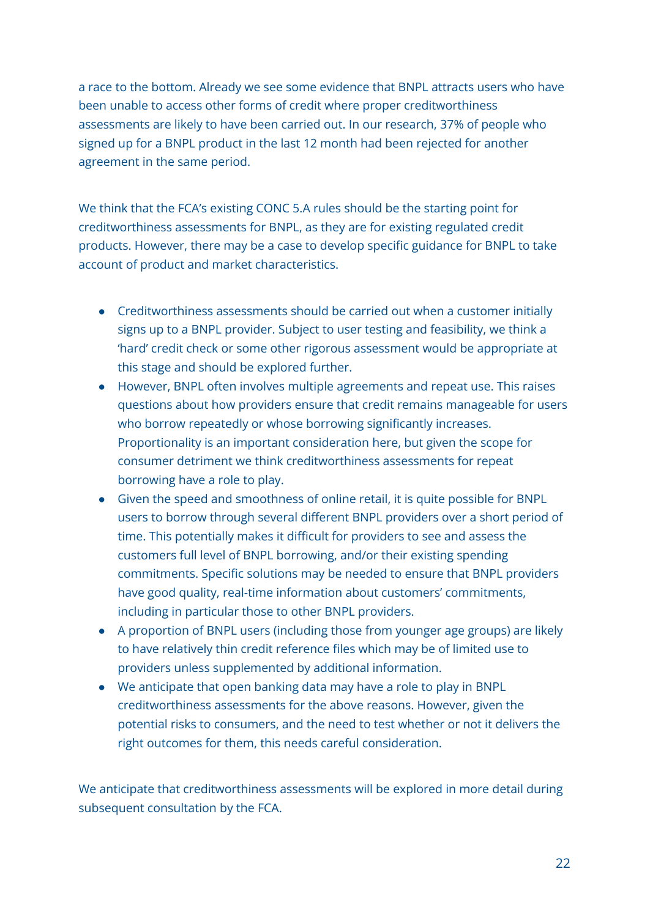a race to the bottom. Already we see some evidence that BNPL attracts users who have been unable to access other forms of credit where proper creditworthiness assessments are likely to have been carried out. In our research, 37% of people who signed up for a BNPL product in the last 12 month had been rejected for another agreement in the same period.

We think that the FCA's existing CONC 5.A rules should be the starting point for creditworthiness assessments for BNPL, as they are for existing regulated credit products. However, there may be a case to develop specific guidance for BNPL to take account of product and market characteristics.

- Creditworthiness assessments should be carried out when a customer initially signs up to a BNPL provider. Subject to user testing and feasibility, we think a 'hard' credit check or some other rigorous assessment would be appropriate at this stage and should be explored further.
- However, BNPL often involves multiple agreements and repeat use. This raises questions about how providers ensure that credit remains manageable for users who borrow repeatedly or whose borrowing significantly increases. Proportionality is an important consideration here, but given the scope for consumer detriment we think creditworthiness assessments for repeat borrowing have a role to play.
- Given the speed and smoothness of online retail, it is quite possible for BNPL users to borrow through several different BNPL providers over a short period of time. This potentially makes it difficult for providers to see and assess the customers full level of BNPL borrowing, and/or their existing spending commitments. Specific solutions may be needed to ensure that BNPL providers have good quality, real-time information about customers' commitments, including in particular those to other BNPL providers.
- A proportion of BNPL users (including those from younger age groups) are likely to have relatively thin credit reference files which may be of limited use to providers unless supplemented by additional information.
- We anticipate that open banking data may have a role to play in BNPL creditworthiness assessments for the above reasons. However, given the potential risks to consumers, and the need to test whether or not it delivers the right outcomes for them, this needs careful consideration.

We anticipate that creditworthiness assessments will be explored in more detail during subsequent consultation by the FCA.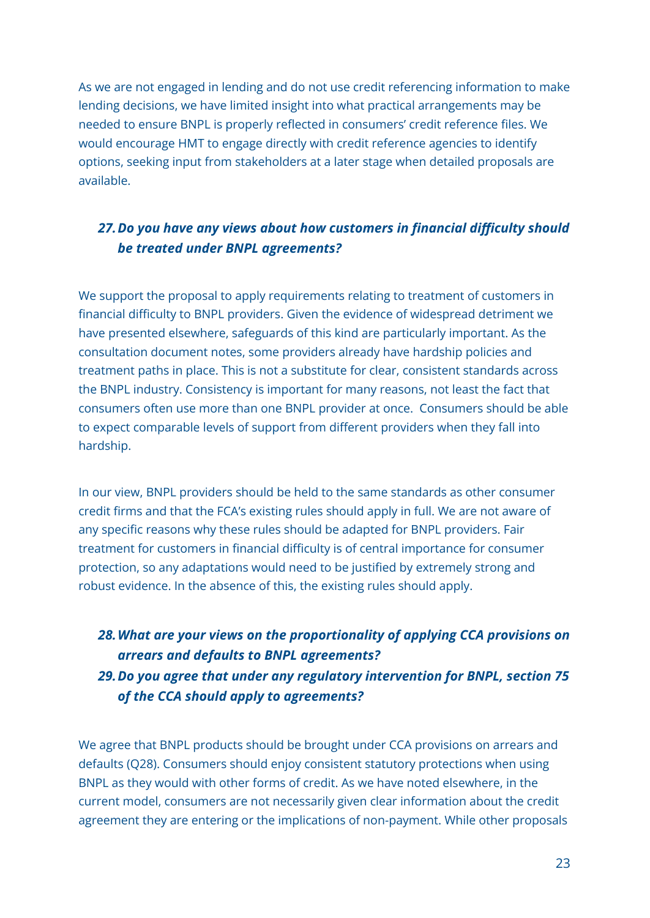As we are not engaged in lending and do not use credit referencing information to make lending decisions, we have limited insight into what practical arrangements may be needed to ensure BNPL is properly reflected in consumers' credit reference files. We would encourage HMT to engage directly with credit reference agencies to identify options, seeking input from stakeholders at a later stage when detailed proposals are available.

## *27.Do you have any views about how customers in financial difficulty should be treated under BNPL agreements?*

We support the proposal to apply requirements relating to treatment of customers in financial difficulty to BNPL providers. Given the evidence of widespread detriment we have presented elsewhere, safeguards of this kind are particularly important. As the consultation document notes, some providers already have hardship policies and treatment paths in place. This is not a substitute for clear, consistent standards across the BNPL industry. Consistency is important for many reasons, not least the fact that consumers often use more than one BNPL provider at once. Consumers should be able to expect comparable levels of support from different providers when they fall into hardship.

In our view, BNPL providers should be held to the same standards as other consumer credit firms and that the FCA's existing rules should apply in full. We are not aware of any specific reasons why these rules should be adapted for BNPL providers. Fair treatment for customers in financial difficulty is of central importance for consumer protection, so any adaptations would need to be justified by extremely strong and robust evidence. In the absence of this, the existing rules should apply.

# *28.What are your views on the proportionality of applying CCA provisions on arrears and defaults to BNPL agreements? 29.Do you agree that under any regulatory intervention for BNPL, section 75 of the CCA should apply to agreements?*

We agree that BNPL products should be brought under CCA provisions on arrears and defaults (Q28). Consumers should enjoy consistent statutory protections when using BNPL as they would with other forms of credit. As we have noted elsewhere, in the current model, consumers are not necessarily given clear information about the credit agreement they are entering or the implications of non-payment. While other proposals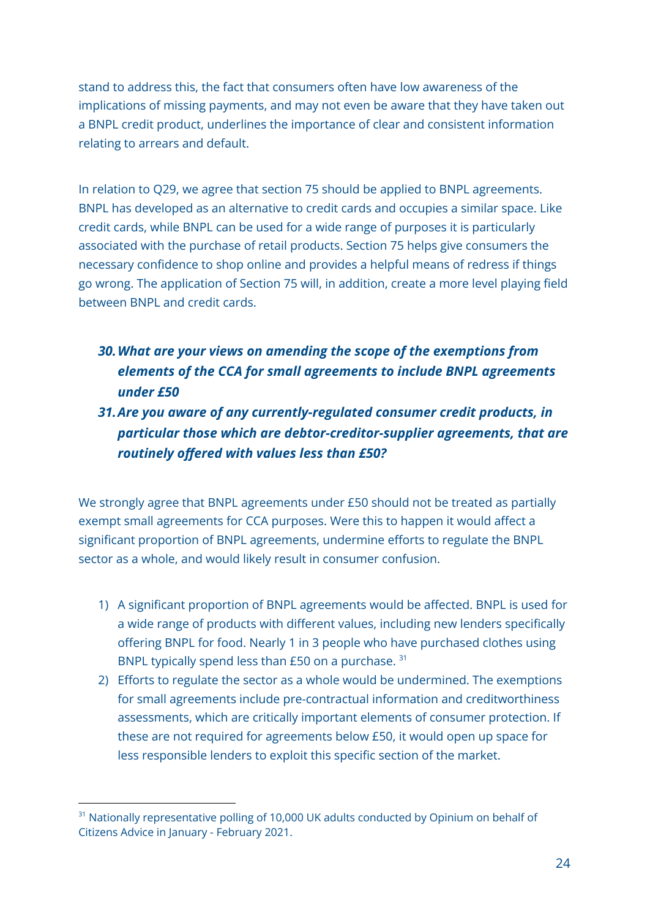stand to address this, the fact that consumers often have low awareness of the implications of missing payments, and may not even be aware that they have taken out a BNPL credit product, underlines the importance of clear and consistent information relating to arrears and default.

In relation to Q29, we agree that section 75 should be applied to BNPL agreements. BNPL has developed as an alternative to credit cards and occupies a similar space. Like credit cards, while BNPL can be used for a wide range of purposes it is particularly associated with the purchase of retail products. Section 75 helps give consumers the necessary confidence to shop online and provides a helpful means of redress if things go wrong. The application of Section 75 will, in addition, create a more level playing field between BNPL and credit cards.

## *30.What are your views on amending the scope of the exemptions from elements of the CCA for small agreements to include BNPL agreements under £50*

## *31.Are you aware of any currently-regulated consumer credit products, in particular those which are debtor-creditor-supplier agreements, that are routinely offered with values less than £50?*

We strongly agree that BNPL agreements under £50 should not be treated as partially exempt small agreements for CCA purposes. Were this to happen it would affect a significant proportion of BNPL agreements, undermine efforts to regulate the BNPL sector as a whole, and would likely result in consumer confusion.

- 1) A significant proportion of BNPL agreements would be affected. BNPL is used for a wide range of products with different values, including new lenders specifically offering BNPL for food. Nearly 1 in 3 people who have purchased clothes using BNPL typically spend less than  $E$ 50 on a purchase.  $31$
- 2) Efforts to regulate the sector as a whole would be undermined. The exemptions for small agreements include pre-contractual information and creditworthiness assessments, which are critically important elements of consumer protection. If these are not required for agreements below £50, it would open up space for less responsible lenders to exploit this specific section of the market.

<sup>&</sup>lt;sup>31</sup> Nationally representative polling of 10,000 UK adults conducted by Opinium on behalf of Citizens Advice in January - February 2021.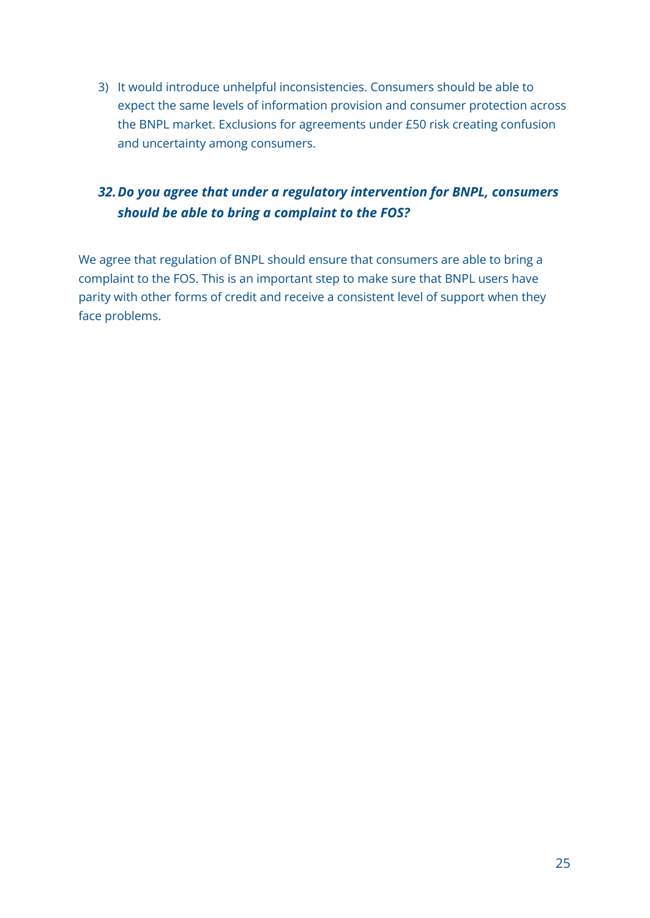3) It would introduce unhelpful inconsistencies. Consumers should be able to expect the same levels of information provision and consumer protection across the BNPL market. Exclusions for agreements under £50 risk creating confusion and uncertainty among consumers.

## *32.Do you agree that under a regulatory intervention for BNPL, consumers should be able to bring a complaint to the FOS?*

We agree that regulation of BNPL should ensure that consumers are able to bring a complaint to the FOS. This is an important step to make sure that BNPL users have parity with other forms of credit and receive a consistent level of support when they face problems.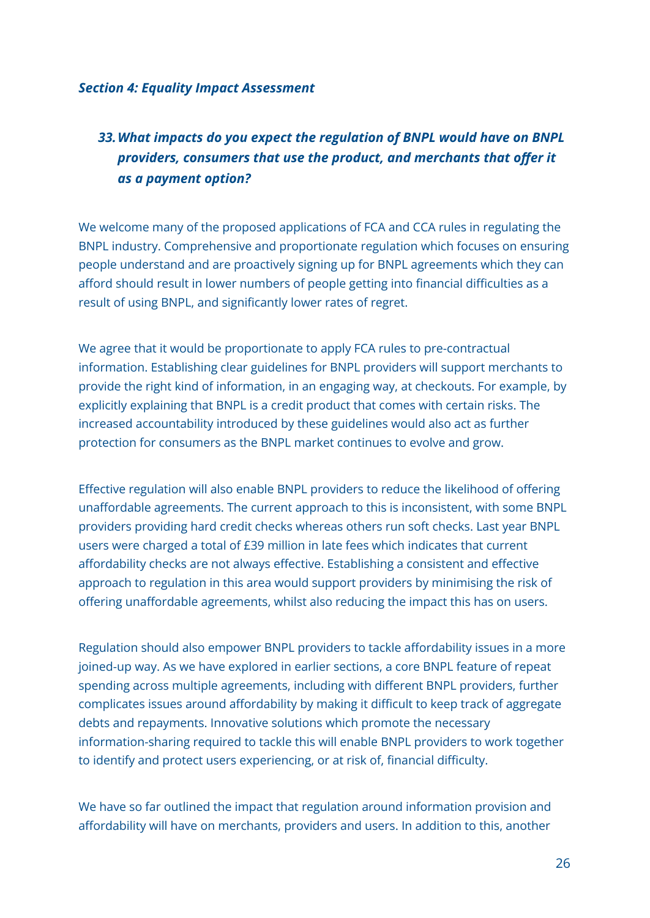#### *Section 4: Equality Impact Assessment*

# *33.What impacts do you expect the regulation of BNPL would have on BNPL providers, consumers that use the product, and merchants that offer it as a payment option?*

We welcome many of the proposed applications of FCA and CCA rules in regulating the BNPL industry. Comprehensive and proportionate regulation which focuses on ensuring people understand and are proactively signing up for BNPL agreements which they can afford should result in lower numbers of people getting into financial difficulties as a result of using BNPL, and significantly lower rates of regret.

We agree that it would be proportionate to apply FCA rules to pre-contractual information. Establishing clear guidelines for BNPL providers will support merchants to provide the right kind of information, in an engaging way, at checkouts. For example, by explicitly explaining that BNPL is a credit product that comes with certain risks. The increased accountability introduced by these guidelines would also act as further protection for consumers as the BNPL market continues to evolve and grow.

Effective regulation will also enable BNPL providers to reduce the likelihood of offering unaffordable agreements. The current approach to this is inconsistent, with some BNPL providers providing hard credit checks whereas others run soft checks. Last year BNPL users were charged a total of £39 million in late fees which indicates that current affordability checks are not always effective. Establishing a consistent and effective approach to regulation in this area would support providers by minimising the risk of offering unaffordable agreements, whilst also reducing the impact this has on users.

Regulation should also empower BNPL providers to tackle affordability issues in a more joined-up way. As we have explored in earlier sections, a core BNPL feature of repeat spending across multiple agreements, including with different BNPL providers, further complicates issues around affordability by making it difficult to keep track of aggregate debts and repayments. Innovative solutions which promote the necessary information-sharing required to tackle this will enable BNPL providers to work together to identify and protect users experiencing, or at risk of, financial difficulty.

We have so far outlined the impact that regulation around information provision and affordability will have on merchants, providers and users. In addition to this, another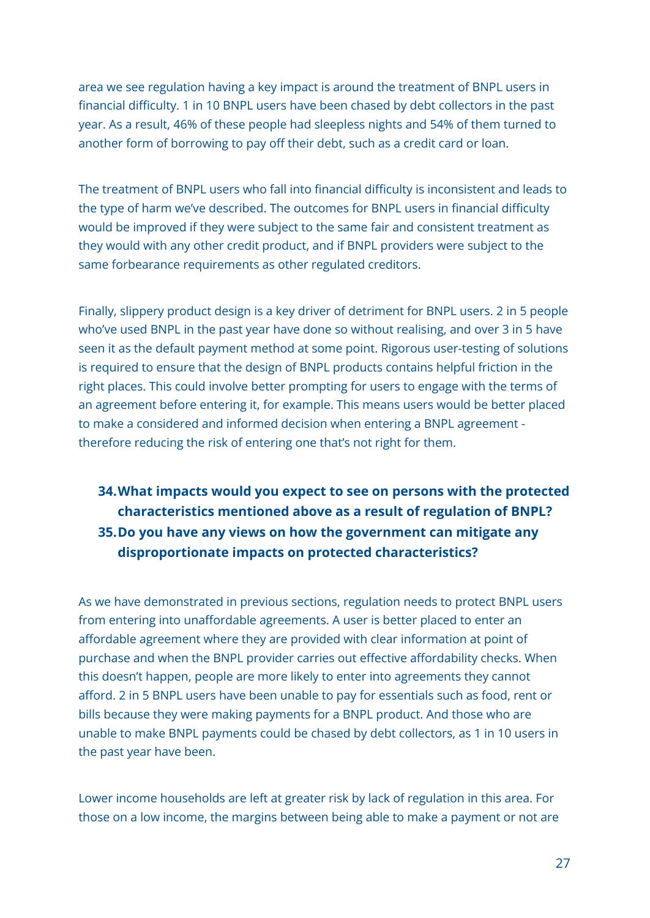area we see regulation having a key impact is around the treatment of BNPL users in financial difficulty. 1 in 10 BNPL users have been chased by debt collectors in the past year. As a result, 46% of these people had sleepless nights and 54% of them turned to another form of borrowing to pay off their debt, such as a credit card or loan.

The treatment of BNPL users who fall into financial difficulty is inconsistent and leads to the type of harm we've described. The outcomes for BNPL users in financial difficulty would be improved if they were subject to the same fair and consistent treatment as they would with any other credit product, and if BNPL providers were subject to the same forbearance requirements as other regulated creditors.

Finally, slippery product design is a key driver of detriment for BNPL users. 2 in 5 people who've used BNPL in the past year have done so without realising, and over 3 in 5 have seen it as the default payment method at some point. Rigorous user-testing of solutions is required to ensure that the design of BNPL products contains helpful friction in the right places. This could involve better prompting for users to engage with the terms of an agreement before entering it, for example. This means users would be better placed to make a considered and informed decision when entering a BNPL agreement therefore reducing the risk of entering one that's not right for them.

## **34.What impacts would you expect to see on persons with the protected characteristics mentioned above as a result of regulation of BNPL? 35.Do you have any views on how the government can mitigate any disproportionate impacts on protected characteristics?**

As we have demonstrated in previous sections, regulation needs to protect BNPL users from entering into unaffordable agreements. A user is better placed to enter an affordable agreement where they are provided with clear information at point of purchase and when the BNPL provider carries out effective affordability checks. When this doesn't happen, people are more likely to enter into agreements they cannot afford. 2 in 5 BNPL users have been unable to pay for essentials such as food, rent or bills because they were making payments for a BNPL product. And those who are unable to make BNPL payments could be chased by debt collectors, as 1 in 10 users in the past year have been.

Lower income households are left at greater risk by lack of regulation in this area. For those on a low income, the margins between being able to make a payment or not are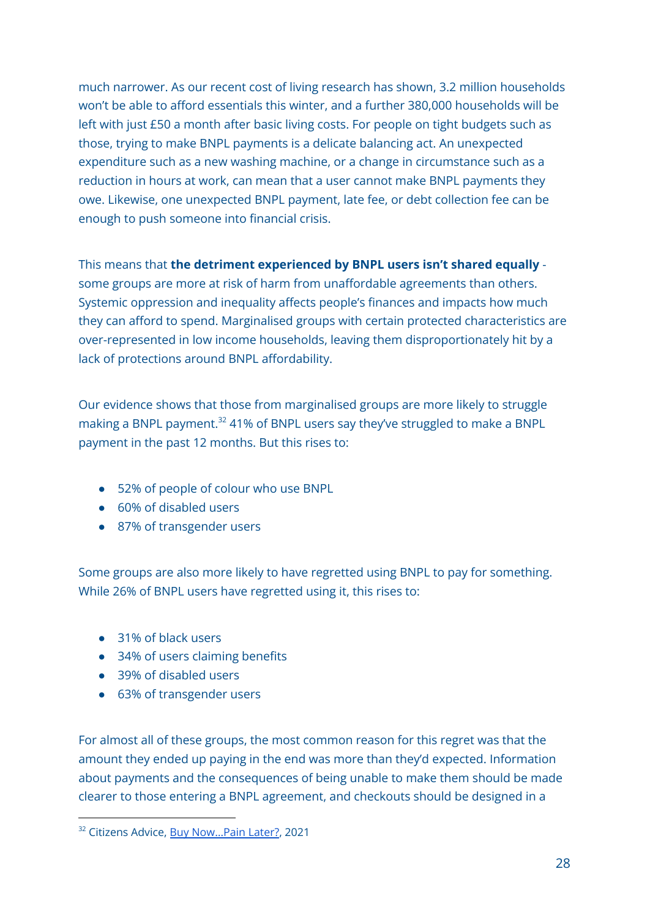much narrower. As our recent cost of living research has shown, 3.2 million households won't be able to afford essentials this winter, and a further 380,000 households will be left with just £50 a month after basic living costs. For people on tight budgets such as those, trying to make BNPL payments is a delicate balancing act. An unexpected expenditure such as a new washing machine, or a change in circumstance such as a reduction in hours at work, can mean that a user cannot make BNPL payments they owe. Likewise, one unexpected BNPL payment, late fee, or debt collection fee can be enough to push someone into financial crisis.

This means that **the detriment experienced by BNPL users isn't shared equally** some groups are more at risk of harm from unaffordable agreements than others. Systemic oppression and inequality affects people's finances and impacts how much they can afford to spend. Marginalised groups with certain protected characteristics are over-represented in low income households, leaving them disproportionately hit by a lack of protections around BNPL affordability.

Our evidence shows that those from marginalised groups are more likely to struggle making a BNPL payment. <sup>32</sup> 41% of BNPL users say they've struggled to make a BNPL payment in the past 12 months. But this rises to:

- 52% of people of colour who use BNPL
- 60% of disabled users
- 87% of transgender users

Some groups are also more likely to have regretted using BNPL to pay for something. While 26% of BNPL users have regretted using it, this rises to:

- 31% of black users
- 34% of users claiming benefits
- 39% of disabled users
- 63% of transgender users

For almost all of these groups, the most common reason for this regret was that the amount they ended up paying in the end was more than they'd expected. Information about payments and the consequences of being unable to make them should be made clearer to those entering a BNPL agreement, and checkouts should be designed in a

<sup>&</sup>lt;sup>32</sup> Citizens Advice, Buy Now...Pain Later?, 2021